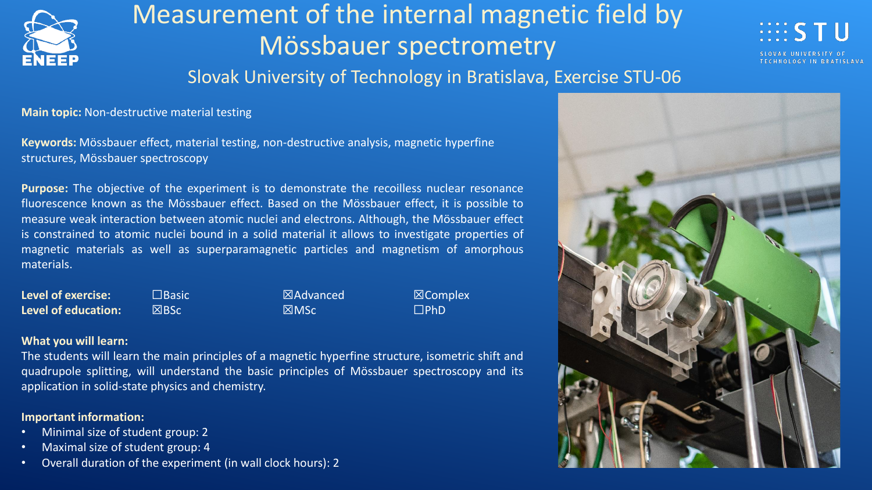

# Measurement of the internal magnetic field by Mössbauer spectrometry



### Slovak University of Technology in Bratislava, Exercise STU-06

**Main topic:** Non-destructive material testing

**Keywords:** Mössbauer effect, material testing, non-destructive analysis, magnetic hyperfine structures, Mössbauer spectroscopy

**Purpose:** The objective of the experiment is to demonstrate the recoilless nuclear resonance fluorescence known as the Mössbauer effect. Based on the Mössbauer effect, it is possible to measure weak interaction between atomic nuclei and electrons. Although, the Mössbauer effect is constrained to atomic nuclei bound in a solid material it allows to investigate properties of magnetic materials as well as superparamagnetic particles and magnetism of amorphous materials.

**Level of exercise:** ☐Basic ☒Advanced ☒Complex **Level of education:** ☒BSc ☒MSc ☐PhD

### **What you will learn:**

The students will learn the main principles of a magnetic hyperfine structure, isometric shift and quadrupole splitting, will understand the basic principles of Mössbauer spectroscopy and its application in solid-state physics and chemistry.

### **Important information:**

- Minimal size of student group: 2
- Maximal size of student group: 4
- Overall duration of the experiment (in wall clock hours): 2